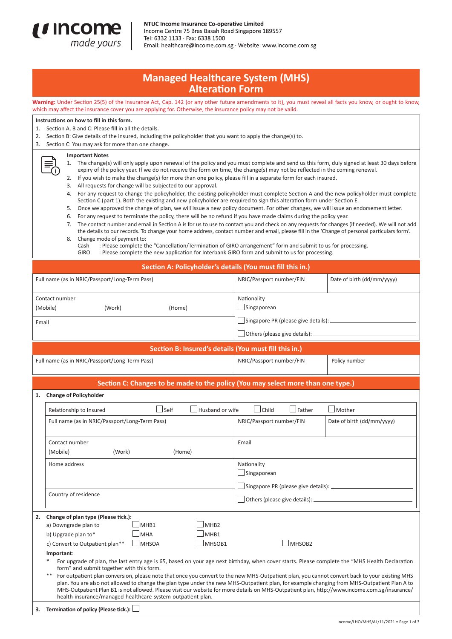

NTUC Income Insurance Co-operative Limited Income Centre 75 Bras Basah Road Singapore 189557 Tel: 6332 1133 · Fax: 6338 1500 Email: healthcare@income.com.sg · Website: www.income.com.sg

## **Managed Healthcare System (MHS) Alteration Form**

**Warning:** Under Section 25(5) of the Insurance Act, Cap. 142 (or any other future amendments to it), you must reveal all facts you know, or ought to know, which may affect the insurance cover you are applying for. Otherwise, the insurance policy may not be valid.

| Instructions on how to fill in this form.<br>Section A, B and C: Please fill in all the details.<br>1.<br>Section B: Give details of the insured, including the policyholder that you want to apply the change(s) to.<br>2.<br>3.<br>Section C: You may ask for more than one change.                                                                                                                                                                                                                                                                                                                                                                                                                                                                                                                                                                                                                                                                                                                                                                                                                                                                                                                                                                                                                                                                                                                                                                                                                                                                                                                                 |        |        |                                                |                            |  |
|-----------------------------------------------------------------------------------------------------------------------------------------------------------------------------------------------------------------------------------------------------------------------------------------------------------------------------------------------------------------------------------------------------------------------------------------------------------------------------------------------------------------------------------------------------------------------------------------------------------------------------------------------------------------------------------------------------------------------------------------------------------------------------------------------------------------------------------------------------------------------------------------------------------------------------------------------------------------------------------------------------------------------------------------------------------------------------------------------------------------------------------------------------------------------------------------------------------------------------------------------------------------------------------------------------------------------------------------------------------------------------------------------------------------------------------------------------------------------------------------------------------------------------------------------------------------------------------------------------------------------|--------|--------|------------------------------------------------|----------------------------|--|
| <b>Important Notes</b><br>1. The change(s) will only apply upon renewal of the policy and you must complete and send us this form, duly signed at least 30 days before<br>expiry of the policy year. If we do not receive the form on time, the change(s) may not be reflected in the coming renewal.<br>If you wish to make the change(s) for more than one policy, please fill in a separate form for each insured.<br>2.<br>All requests for change will be subjected to our approval.<br>3.<br>For any request to change the policyholder, the existing policyholder must complete Section A and the new policyholder must complete<br>4.<br>Section C (part 1). Both the existing and new policyholder are required to sign this alteration form under Section E.<br>Once we approved the change of plan, we will issue a new policy document. For other changes, we will issue an endorsement letter.<br>5.<br>For any request to terminate the policy, there will be no refund if you have made claims during the policy year.<br>6.<br>The contact number and email in Section A is for us to use to contact you and check on any requests for changes (if needed). We will not add<br>7.<br>the details to our records. To change your home address, contact number and email, please fill in the 'Change of personal particulars form'.<br>Change mode of payment to:<br>8.<br>: Please complete the "Cancellation/Termination of GIRO arrangement" form and submit to us for processing.<br>Cash<br>: Please complete the new application for Interbank GIRO form and submit to us for processing.<br>GIRO |        |        |                                                |                            |  |
| Section A: Policyholder's details (You must fill this in.)                                                                                                                                                                                                                                                                                                                                                                                                                                                                                                                                                                                                                                                                                                                                                                                                                                                                                                                                                                                                                                                                                                                                                                                                                                                                                                                                                                                                                                                                                                                                                            |        |        |                                                |                            |  |
| Full name (as in NRIC/Passport/Long-Term Pass)                                                                                                                                                                                                                                                                                                                                                                                                                                                                                                                                                                                                                                                                                                                                                                                                                                                                                                                                                                                                                                                                                                                                                                                                                                                                                                                                                                                                                                                                                                                                                                        |        |        | NRIC/Passport number/FIN                       | Date of birth (dd/mm/yyyy) |  |
| Contact number<br>(Mobile)                                                                                                                                                                                                                                                                                                                                                                                                                                                                                                                                                                                                                                                                                                                                                                                                                                                                                                                                                                                                                                                                                                                                                                                                                                                                                                                                                                                                                                                                                                                                                                                            | (Work) | (Home) | Nationality<br>Singaporean                     |                            |  |
| Email                                                                                                                                                                                                                                                                                                                                                                                                                                                                                                                                                                                                                                                                                                                                                                                                                                                                                                                                                                                                                                                                                                                                                                                                                                                                                                                                                                                                                                                                                                                                                                                                                 |        |        | Others (please give details): ________________ |                            |  |
| Section B: Insured's details (You must fill this in.)                                                                                                                                                                                                                                                                                                                                                                                                                                                                                                                                                                                                                                                                                                                                                                                                                                                                                                                                                                                                                                                                                                                                                                                                                                                                                                                                                                                                                                                                                                                                                                 |        |        |                                                |                            |  |
| Full name (as in NRIC/Passport/Long-Term Pass)                                                                                                                                                                                                                                                                                                                                                                                                                                                                                                                                                                                                                                                                                                                                                                                                                                                                                                                                                                                                                                                                                                                                                                                                                                                                                                                                                                                                                                                                                                                                                                        |        |        | NRIC/Passport number/FIN                       | Policy number              |  |
| Section C: Changes to be made to the policy (You may select more than one type.)                                                                                                                                                                                                                                                                                                                                                                                                                                                                                                                                                                                                                                                                                                                                                                                                                                                                                                                                                                                                                                                                                                                                                                                                                                                                                                                                                                                                                                                                                                                                      |        |        |                                                |                            |  |
| 1. Change of Policyholder                                                                                                                                                                                                                                                                                                                                                                                                                                                                                                                                                                                                                                                                                                                                                                                                                                                                                                                                                                                                                                                                                                                                                                                                                                                                                                                                                                                                                                                                                                                                                                                             |        |        |                                                |                            |  |

|    | Self<br>Husband or wife<br>Relationship to Insured                                                                                                                                                                                                                                                                                                                                                                                                                                                                     | $\Box$ Father<br>Child<br>Mother                                                |  |  |  |
|----|------------------------------------------------------------------------------------------------------------------------------------------------------------------------------------------------------------------------------------------------------------------------------------------------------------------------------------------------------------------------------------------------------------------------------------------------------------------------------------------------------------------------|---------------------------------------------------------------------------------|--|--|--|
|    | Full name (as in NRIC/Passport/Long-Term Pass)                                                                                                                                                                                                                                                                                                                                                                                                                                                                         | NRIC/Passport number/FIN<br>Date of birth (dd/mm/yyyy)                          |  |  |  |
|    | Contact number<br>(Mobile)<br>(Work)<br>(Home)                                                                                                                                                                                                                                                                                                                                                                                                                                                                         | Email                                                                           |  |  |  |
|    | Home address                                                                                                                                                                                                                                                                                                                                                                                                                                                                                                           | Nationality<br>Singaporean<br>Singapore PR (please give details): _____________ |  |  |  |
|    | Country of residence                                                                                                                                                                                                                                                                                                                                                                                                                                                                                                   |                                                                                 |  |  |  |
| 2. | Change of plan type (Please tick.):                                                                                                                                                                                                                                                                                                                                                                                                                                                                                    |                                                                                 |  |  |  |
|    | MHR <sub>2</sub><br>MHB1<br>a) Downgrade plan to                                                                                                                                                                                                                                                                                                                                                                                                                                                                       |                                                                                 |  |  |  |
|    | MHB <sub>1</sub><br><b>MHA</b><br>b) Upgrade plan to*                                                                                                                                                                                                                                                                                                                                                                                                                                                                  |                                                                                 |  |  |  |
|    | c) Convert to Outpatient plan**<br>MHSOA<br>MHSOB1                                                                                                                                                                                                                                                                                                                                                                                                                                                                     | MHSOB <sub>2</sub>                                                              |  |  |  |
|    | Important:                                                                                                                                                                                                                                                                                                                                                                                                                                                                                                             |                                                                                 |  |  |  |
|    | For upgrade of plan, the last entry age is 65, based on your age next birthday, when cover starts. Please complete the "MHS Health Declaration<br>form" and submit together with this form.                                                                                                                                                                                                                                                                                                                            |                                                                                 |  |  |  |
|    | For outpatient plan conversion, please note that once you convert to the new MHS-Outpatient plan, you cannot convert back to your existing MHS<br>$***$<br>plan. You are also not allowed to change the plan type under the new MHS-Outpatient plan, for example changing from MHS-Outpatient Plan A to<br>MHS-Outpatient Plan B1 is not allowed. Please visit our website for more details on MHS-Outpatient plan, http://www.income.com.sg/insurance/<br>health-insurance/managed-healthcare-system-outpatient-plan. |                                                                                 |  |  |  |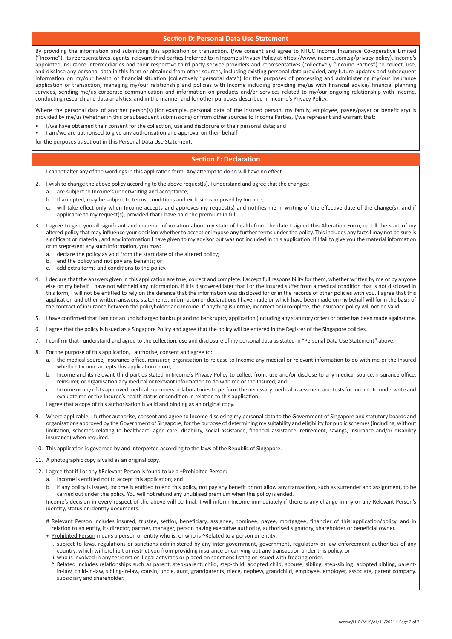## **Section D: Personal Data Use Statement**

By providing the information and submitting this application or transaction, I/we consent and agree to NTUC Income Insurance Co-operative Limited ("Income"), its representatives, agents, relevant third parties (referred to in Income's Privacy Policy at https://www.income.com.sg/privacy-policy), Income's appointed insurance intermediaries and their respective third party service providers and representatives (collectively "Income Parties") to collect, use, and disclose any personal data in this form or obtained from other sources, including existing personal data provided, any future updates and subsequent information on my/our health or financial situation (collectively "personal data") for the purposes of processing and administering my/our insurance application or transaction, managing my/our relationship and policies with Income including providing me/us with financial advice/ financial planning services, sending me/us corporate communication and information on products and/or services related to my/our ongoing relationship with Income, conducting research and data analytics, and in the manner and for other purposes described in Income's Privacy Policy.

Where the personal data of another person(s) (for example, personal data of the insured person, my family, employee, payee/payer or beneficiary) is provided by me/us (whether in this or subsequent submissions) or from other sources to Income Parties, I/we represent and warrant that:

- I/we have obtained their consent for the collection, use and disclosure of their personal data; and
- I am/we are authorised to give any authorisation and approval on their behalf
- for the purposes as set out in this Personal Data Use Statement.

## **Section E: Declaration**

1. I cannot alter any of the wordings in this application form. Any attempt to do so will have no effect.

- 2. I wish to change the above policy according to the above request(s). I understand and agree that the changes:
	- a. are subject to Income's underwriting and acceptance;
	- b. If accepted, may be subject to terms, conditions and exclusions imposed by Income;
	- c. will take effect only when Income accepts and approves my request(s) and notifies me in writing of the effective date of the change(s); and if applicable to my request(s), provided that I have paid the premium in full.
- I agree to give you all significant and material information about my state of health from the date I signed this Alteration Form, up till the start of my altered policy that may influence your decision whether to accept or impose any further terms under the policy. This includes any facts I may not be sure is significant or material, and any information I have given to my advisor but was not included in this application. If I fail to give you the material information or misrepresent any such information, you may:
	- a. declare the policy as void from the start date of the altered policy;
	- b. end the policy and not pay any benefits; or
	- c. add extra terms and conditions to the policy.
- I declare that the answers given in this application are true, correct and complete. I accept full responsibility for them, whether written by me or by anyone else on my behalf. I have not withheld any information. If it is discovered later that I or the Insured suffer from a medical condition that is not disclosed in this form, I will not be entitled to rely on the defence that the information was disclosed for or in the records of other policies with you. I agree that this application and other written answers, statements, information or declarations I have made or which have been made on my behalf will form the basis of the contract of insurance between the policyholder and Income. If anything is untrue, incorrect or incomplete, the insurance policy will not be valid.
- 5. I have confirmed that I am not an undischarged bankrupt and no bankruptcy application (including any statutory order) or order has been made against me.
- 6. I agree that the policy is issued as a Singapore Policy and agree that the policy will be entered in the Register of the Singapore policies.
- 7. I confirm that I understand and agree to the collection, use and disclosure of my personal data as stated in "Personal Data Use Statement" above.
- 8. For the purpose of this application, I authorise, consent and agree to:
	- a. the medical source, insurance office, reinsurer, organisation to release to Income any medical or relevant information to do with me or the Insured whether Income accepts this application or not;
	- b. Income and its relevant third parties stated in Income's Privacy Policy to collect from, use and/or disclose to any medical source, insurance office, reinsurer, or organisation any medical or relevant information to do with me or the Insured; and
	- c. Income or any of its approved medical examiners or laboratories to perform the necessary medical assessment and tests for Income to underwrite and evaluate me or the Insured's health status or condition in relation to this application.
	- I agree that a copy of this authorisation is valid and binding as an original copy.
- 9. Where applicable, I further authorise, consent and agree to Income disclosing my personal data to the Government of Singapore and statutory boards and organisations approved by the Government of Singapore, for the purpose of determining my suitability and eligibility for public schemes (including, without limitation, schemes relating to healthcare, aged care, disability, social assistance, financial assistance, retirement, savings, insurance and/or disability insurance) when required.
- 10. This application is governed by and interpreted according to the laws of the Republic of Singapore.
- 11. A photographic copy is valid as an original copy.
- 12. I agree that if I or any #Relevant Person is found to be a +Prohibited Person:
	- a. Income is entitled not to accept this application; and
	- b. if any policy is issued, Income is entitled to end this policy, not pay any benefit or not allow any transaction, such as surrender and assignment, to be carried out under this policy. You will not refund any unutilised premium when this policy is ended.

Income's decision in every respect of the above will be final. I will inform Income immediately if there is any change in my or any Relevant Person's identity, status or identity documents.

- # Relevant Person includes insured, trustee, settlor, beneficiary, assignee, nominee, payee, mortgagee, financier of this application/policy, and in relation to an entity, its director, partner, manager, person having executive authority, authorised signatory, shareholder or beneficial owner.
- + Prohibited Person means a person or entity who is, or who is ^Related to a person or entity:
- i. subject to laws, regulations or sanctions administered by any inter-government, government, regulatory or law enforcement authorities of any country, which will prohibit or restrict you from providing insurance or carrying out any transaction under this policy, or
- ii. who is involved in any terrorist or illegal activities or placed on sanctions listing or issued with freezing order.
- Related includes relationships such as parent, step-parent, child, step-child, adopted child, spouse, sibling, step-sibling, adopted sibling, parentin-law, child-in-law, sibling-in-law, cousin, uncle, aunt, grandparents, niece, nephew, grandchild, employee, employer, associate, parent company, subsidiary and shareholder.